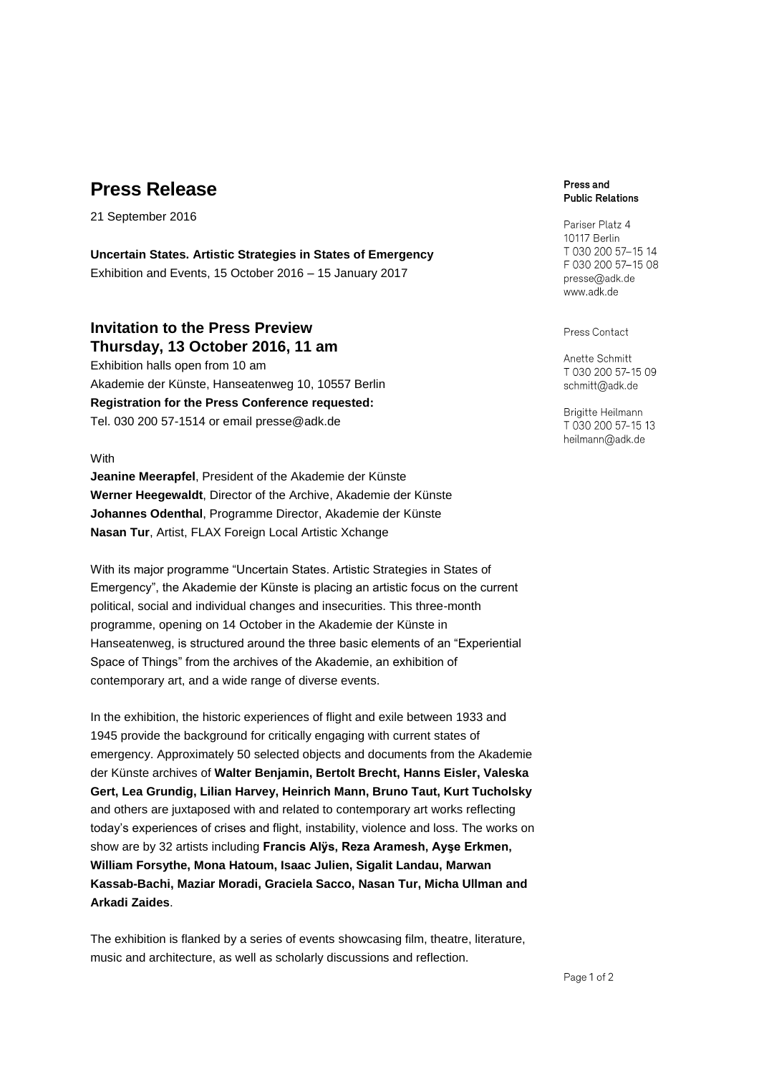# **Press Release**

21 September 2016

**Uncertain States. Artistic Strategies in States of Emergency** Exhibition and Events, 15 October 2016 – 15 January 2017

## **Invitation to the Press Preview Thursday, 13 October 2016, 11 am**

Exhibition halls open from 10 am Akademie der Künste, Hanseatenweg 10, 10557 Berlin **Registration for the Press Conference requested:** Tel. 030 200 57-1514 or email [presse@adk.de](mailto:presse@adk.de)

#### **With**

**Jeanine Meerapfel**, President of the Akademie der Künste **Werner Heegewaldt**, Director of the Archive, Akademie der Künste **Johannes Odenthal**, Programme Director, Akademie der Künste **Nasan Tur**, Artist, FLAX Foreign Local Artistic Xchange

With its major programme "Uncertain States. Artistic Strategies in States of Emergency", the Akademie der Künste is placing an artistic focus on the current political, social and individual changes and insecurities. This three-month programme, opening on 14 October in the Akademie der Künste in Hanseatenweg, is structured around the three basic elements of an "Experiential Space of Things" from the archives of the Akademie, an exhibition of contemporary art, and a wide range of diverse events.

In the exhibition, the historic experiences of flight and exile between 1933 and 1945 provide the background for critically engaging with current states of emergency. Approximately 50 selected objects and documents from the Akademie der Künste archives of **Walter Benjamin, Bertolt Brecht, Hanns Eisler, Valeska Gert, Lea Grundig, Lilian Harvey, Heinrich Mann, Bruno Taut, Kurt Tucholsky** and others are juxtaposed with and related to contemporary art works reflecting today's experiences of crises and flight, instability, violence and loss. The works on show are by 32 artists including **Francis Alÿs, Reza Aramesh, Ayşe Erkmen, William Forsythe, Mona Hatoum, Isaac Julien, Sigalit Landau, Marwan Kassab-Bachi, Maziar Moradi, Graciela Sacco, Nasan Tur, Micha Ullman and Arkadi Zaides**.

The exhibition is flanked by a series of events showcasing film, theatre, literature, music and architecture, as well as scholarly discussions and reflection.

#### Press and **Public Relations**

Pariser Platz 4 10117 Berlin T 030 200 57-15 14 F 030 200 57-15 08 presse@adk.de www.adk.de

Press Contact

Anette Schmitt T 030 200 57-15 09 schmitt@adk.de

Brigitte Heilmann T 030 200 57-15 13 heilmann@adk.de